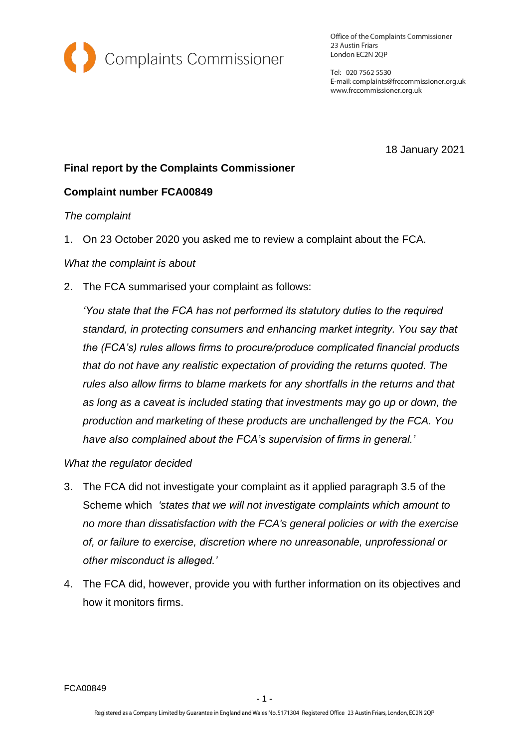

Office of the Complaints Commissioner 23 Austin Friars London EC2N 2QP

Tel: 020 7562 5530 E-mail: complaints@frccommissioner.org.uk www.frccommissioner.org.uk

18 January 2021

# **Final report by the Complaints Commissioner**

# **Complaint number FCA00849**

#### *The complaint*

1. On 23 October 2020 you asked me to review a complaint about the FCA.

### *What the complaint is about*

2. The FCA summarised your complaint as follows:

*'You state that the FCA has not performed its statutory duties to the required standard, in protecting consumers and enhancing market integrity. You say that the (FCA's) rules allows firms to procure/produce complicated financial products that do not have any realistic expectation of providing the returns quoted. The rules also allow firms to blame markets for any shortfalls in the returns and that as long as a caveat is included stating that investments may go up or down, the production and marketing of these products are unchallenged by the FCA. You have also complained about the FCA's supervision of firms in general.'*

#### *What the regulator decided*

- 3. The FCA did not investigate your complaint as it applied paragraph 3.5 of the Scheme which *'states that we will not investigate complaints which amount to no more than dissatisfaction with the FCA's general policies or with the exercise of, or failure to exercise, discretion where no unreasonable, unprofessional or other misconduct is alleged.'*
- 4. The FCA did, however, provide you with further information on its objectives and how it monitors firms.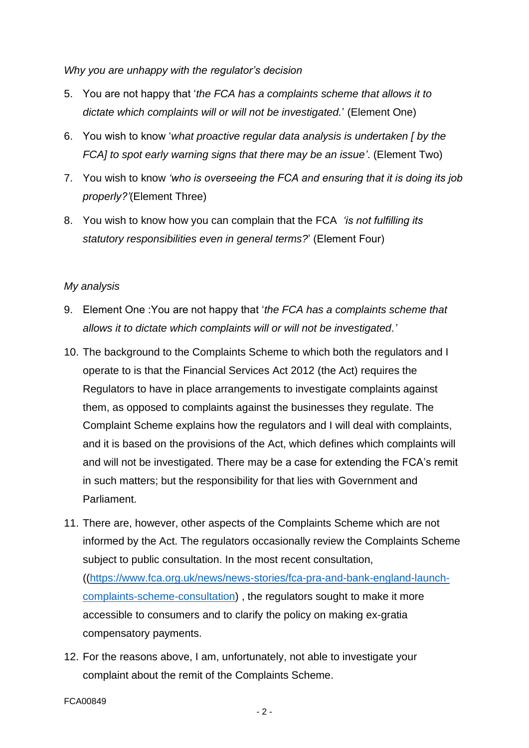*Why you are unhappy with the regulator's decision*

- 5. You are not happy that '*the FCA has a complaints scheme that allows it to dictate which complaints will or will not be investigated.*' (Element One)
- 6. You wish to know '*what proactive regular data analysis is undertaken [ by the FCA] to spot early warning signs that there may be an issue'*. (Element Two)
- 7. You wish to know *'who is overseeing the FCA and ensuring that it is doing its job properly?'*(Element Three)
- 8. You wish to know how you can complain that the FCA *'is not fulfilling its statutory responsibilities even in general terms?*' (Element Four)

### *My analysis*

- 9. Element One :You are not happy that '*the FCA has a complaints scheme that allows it to dictate which complaints will or will not be investigated.'*
- 10. The background to the Complaints Scheme to which both the regulators and I operate to is that the Financial Services Act 2012 (the Act) requires the Regulators to have in place arrangements to investigate complaints against them, as opposed to complaints against the businesses they regulate. The Complaint Scheme explains how the regulators and I will deal with complaints, and it is based on the provisions of the Act, which defines which complaints will and will not be investigated. There may be a case for extending the FCA's remit in such matters; but the responsibility for that lies with Government and Parliament.
- 11. There are, however, other aspects of the Complaints Scheme which are not informed by the Act. The regulators occasionally review the Complaints Scheme subject to public consultation. In the most recent consultation, ([\(https://www.fca.org.uk/news/news-stories/fca-pra-and-bank-england-launch](https://www.fca.org.uk/news/news-stories/fca-pra-and-bank-england-launch-complaints-scheme-consultation)[complaints-scheme-consultation\)](https://www.fca.org.uk/news/news-stories/fca-pra-and-bank-england-launch-complaints-scheme-consultation) , the regulators sought to make it more accessible to consumers and to clarify the policy on making ex-gratia compensatory payments.
- 12. For the reasons above, I am, unfortunately, not able to investigate your complaint about the remit of the Complaints Scheme.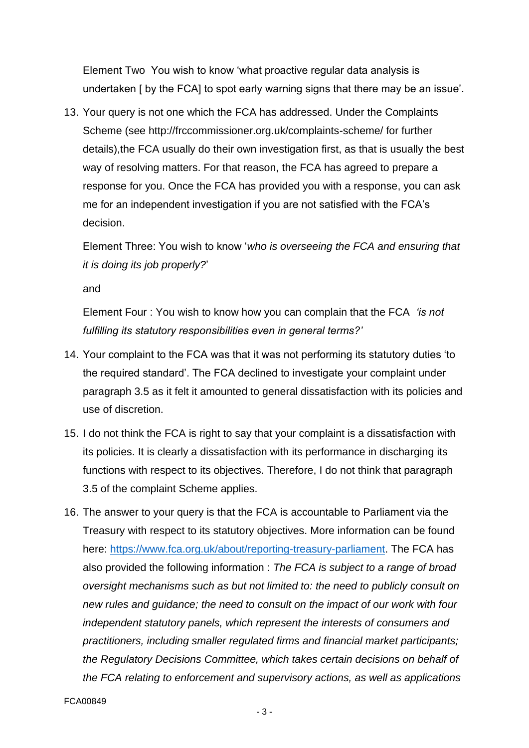Element Two You wish to know 'what proactive regular data analysis is undertaken [ by the FCA] to spot early warning signs that there may be an issue'.

13. Your query is not one which the FCA has addressed. Under the Complaints Scheme (see http://frccommissioner.org.uk/complaints-scheme/ for further details),the FCA usually do their own investigation first, as that is usually the best way of resolving matters. For that reason, the FCA has agreed to prepare a response for you. Once the FCA has provided you with a response, you can ask me for an independent investigation if you are not satisfied with the FCA's decision.

Element Three: You wish to know '*who is overseeing the FCA and ensuring that it is doing its job properly?*'

and

Element Four : You wish to know how you can complain that the FCA *'is not fulfilling its statutory responsibilities even in general terms?'*

- 14. Your complaint to the FCA was that it was not performing its statutory duties 'to the required standard'. The FCA declined to investigate your complaint under paragraph 3.5 as it felt it amounted to general dissatisfaction with its policies and use of discretion.
- 15. I do not think the FCA is right to say that your complaint is a dissatisfaction with its policies. It is clearly a dissatisfaction with its performance in discharging its functions with respect to its objectives. Therefore, I do not think that paragraph 3.5 of the complaint Scheme applies.
- 16. The answer to your query is that the FCA is accountable to Parliament via the Treasury with respect to its statutory objectives. More information can be found here: [https://www.fca.org.uk/about/reporting-treasury-parliament.](https://www.fca.org.uk/about/reporting-treasury-parliament) The FCA has also provided the following information : *The FCA is subject to a range of broad oversight mechanisms such as but not limited to: the need to publicly consult on new rules and guidance; the need to consult on the impact of our work with four independent statutory panels, which represent the interests of consumers and practitioners, including smaller regulated firms and financial market participants; the Regulatory Decisions Committee, which takes certain decisions on behalf of the FCA relating to enforcement and supervisory actions, as well as applications*